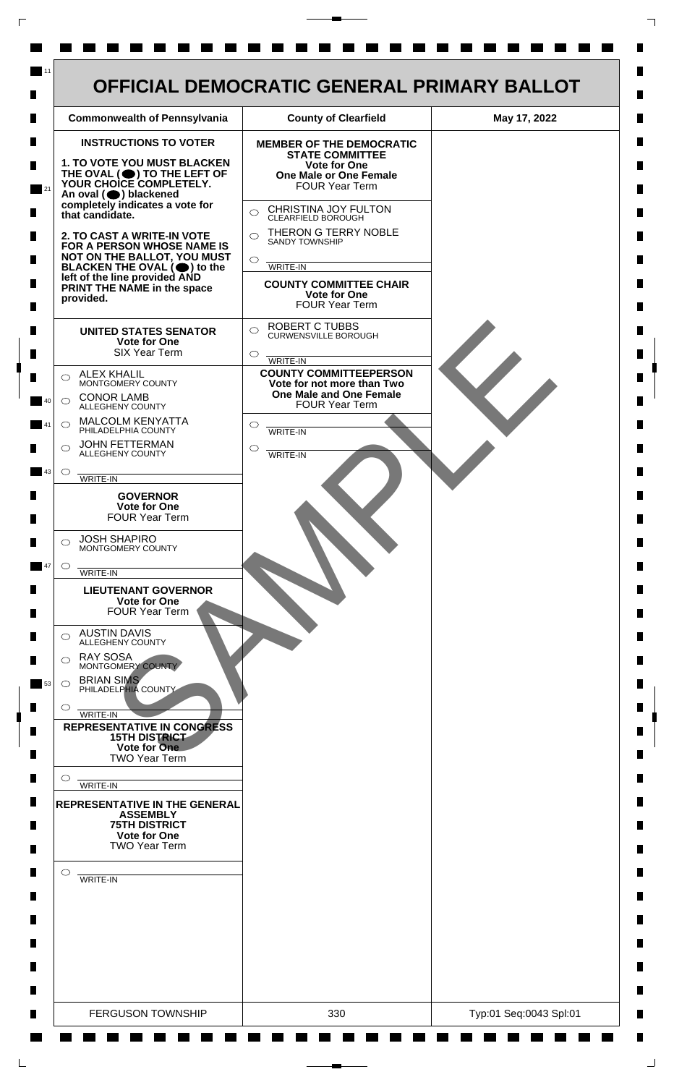

 $\mathsf{L}$ 

 $\Box$